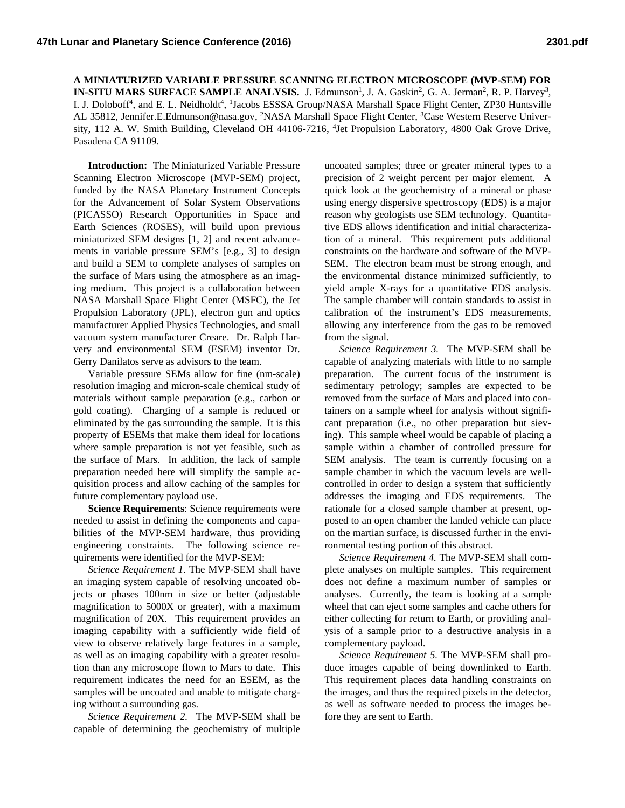**A MINIATURIZED VARIABLE PRESSURE SCANNING ELECTRON MICROSCOPE (MVP-SEM) FOR IN-SITU MARS SURFACE SAMPLE ANALYSIS.** J. Edmunson<sup>1</sup>, J. A. Gaskin<sup>2</sup>, G. A. Jerman<sup>2</sup>, R. P. Harvey<sup>3</sup>, I. J. Doloboff<sup>4</sup>, and E. L. Neidholdt<sup>4</sup>, <sup>1</sup>Jacobs ESSSA Group/NASA Marshall Space Flight Center, ZP30 Huntsville AL 35812, Jennifer.E.Edmunson@nasa.gov, <sup>2</sup>NASA Marshall Space Flight Center, <sup>3</sup>Case Western Reserve University, 112 A. W. Smith Building, Cleveland OH 44106-7216, <sup>4</sup>Jet Propulsion Laboratory, 4800 Oak Grove Drive, Pasadena CA 91109.

**Introduction:** The Miniaturized Variable Pressure Scanning Electron Microscope (MVP-SEM) project, funded by the NASA Planetary Instrument Concepts for the Advancement of Solar System Observations (PICASSO) Research Opportunities in Space and Earth Sciences (ROSES), will build upon previous miniaturized SEM designs [1, 2] and recent advancements in variable pressure SEM's [e.g., 3] to design and build a SEM to complete analyses of samples on the surface of Mars using the atmosphere as an imaging medium. This project is a collaboration between NASA Marshall Space Flight Center (MSFC), the Jet Propulsion Laboratory (JPL), electron gun and optics manufacturer Applied Physics Technologies, and small vacuum system manufacturer Creare. Dr. Ralph Harvery and environmental SEM (ESEM) inventor Dr. Gerry Danilatos serve as advisors to the team.

Variable pressure SEMs allow for fine (nm-scale) resolution imaging and micron-scale chemical study of materials without sample preparation (e.g., carbon or gold coating). Charging of a sample is reduced or eliminated by the gas surrounding the sample. It is this property of ESEMs that make them ideal for locations where sample preparation is not yet feasible, such as the surface of Mars. In addition, the lack of sample preparation needed here will simplify the sample acquisition process and allow caching of the samples for future complementary payload use.

**Science Requirements**: Science requirements were needed to assist in defining the components and capabilities of the MVP-SEM hardware, thus providing engineering constraints. The following science requirements were identified for the MVP-SEM:

*Science Requirement 1.* The MVP-SEM shall have an imaging system capable of resolving uncoated objects or phases 100nm in size or better (adjustable magnification to 5000X or greater), with a maximum magnification of 20X. This requirement provides an imaging capability with a sufficiently wide field of view to observe relatively large features in a sample, as well as an imaging capability with a greater resolution than any microscope flown to Mars to date. This requirement indicates the need for an ESEM, as the samples will be uncoated and unable to mitigate charging without a surrounding gas.

*Science Requirement 2.* The MVP-SEM shall be capable of determining the geochemistry of multiple uncoated samples; three or greater mineral types to a precision of 2 weight percent per major element. A quick look at the geochemistry of a mineral or phase using energy dispersive spectroscopy (EDS) is a major reason why geologists use SEM technology. Quantitative EDS allows identification and initial characterization of a mineral. This requirement puts additional constraints on the hardware and software of the MVP-SEM. The electron beam must be strong enough, and the environmental distance minimized sufficiently, to yield ample X-rays for a quantitative EDS analysis. The sample chamber will contain standards to assist in calibration of the instrument's EDS measurements, allowing any interference from the gas to be removed from the signal.

*Science Requirement 3.* The MVP-SEM shall be capable of analyzing materials with little to no sample preparation. The current focus of the instrument is sedimentary petrology; samples are expected to be removed from the surface of Mars and placed into containers on a sample wheel for analysis without significant preparation (i.e., no other preparation but sieving). This sample wheel would be capable of placing a sample within a chamber of controlled pressure for SEM analysis. The team is currently focusing on a sample chamber in which the vacuum levels are wellcontrolled in order to design a system that sufficiently addresses the imaging and EDS requirements. The rationale for a closed sample chamber at present, opposed to an open chamber the landed vehicle can place on the martian surface, is discussed further in the environmental testing portion of this abstract.

*Science Requirement 4.* The MVP-SEM shall complete analyses on multiple samples. This requirement does not define a maximum number of samples or analyses. Currently, the team is looking at a sample wheel that can eject some samples and cache others for either collecting for return to Earth, or providing analysis of a sample prior to a destructive analysis in a complementary payload.

*Science Requirement 5.* The MVP-SEM shall produce images capable of being downlinked to Earth. This requirement places data handling constraints on the images, and thus the required pixels in the detector, as well as software needed to process the images before they are sent to Earth.